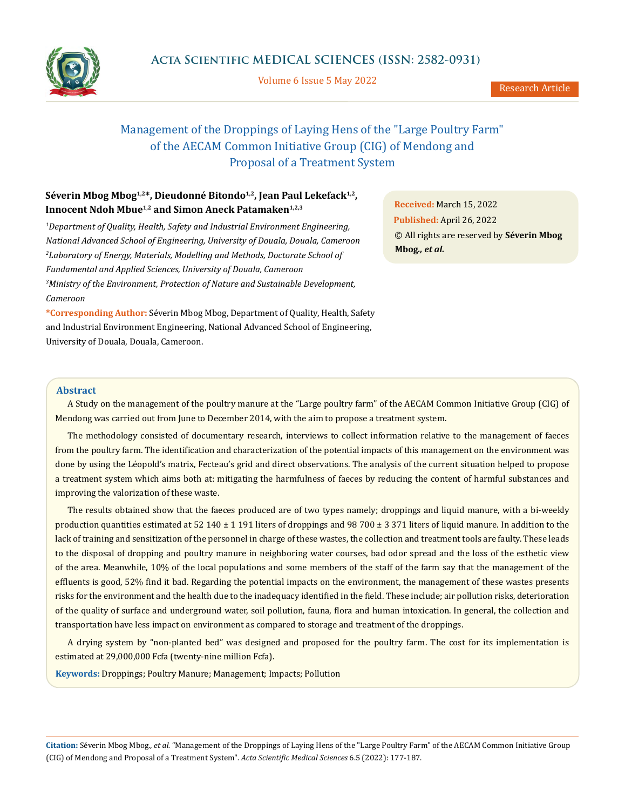

Volume 6 Issue 5 May 2022

# Management of the Droppings of Laying Hens of the "Large Poultry Farm" of the AECAM Common Initiative Group (CIG) of Mendong and Proposal of a Treatment System

# Séverin Mbog Mbog<sup>1,2\*</sup>, Dieudonné Bitondo<sup>1,2</sup>, Jean Paul Lekefack<sup>1,2</sup>, Innocent Ndoh Mbue<sup>1,2</sup> and Simon Aneck Patamaken<sup>1,2,3</sup>

<sup>1</sup>Department of Quality, Health, Safety and Industrial Environment Engineering, *National Advanced School of Engineering, University of Douala, Douala, Cameroon 2 Laboratory of Energy, Materials, Modelling and Methods, Doctorate School of Fundamental and Applied Sciences, University of Douala, Cameroon 3 Ministry of the Environment, Protection of Nature and Sustainable Development, Cameroon*

**\*Corresponding Author:** Séverin Mbog Mbog, Department of Quality, Health, Safety and Industrial Environment Engineering, National Advanced School of Engineering, University of Douala, Douala, Cameroon.

**Received:** March 15, 2022 **Published:** April 26, 2022 © All rights are reserved by **Séverin Mbog Mbog***., et al.*

#### **Abstract**

A Study on the management of the poultry manure at the "Large poultry farm" of the AECAM Common Initiative Group (CIG) of Mendong was carried out from June to December 2014, with the aim to propose a treatment system.

The methodology consisted of documentary research, interviews to collect information relative to the management of faeces from the poultry farm. The identification and characterization of the potential impacts of this management on the environment was done by using the Léopold's matrix, Fecteau's grid and direct observations. The analysis of the current situation helped to propose a treatment system which aims both at: mitigating the harmfulness of faeces by reducing the content of harmful substances and improving the valorization of these waste.

The results obtained show that the faeces produced are of two types namely; droppings and liquid manure, with a bi-weekly production quantities estimated at 52 140  $\pm$  1 191 liters of droppings and 98 700  $\pm$  3 371 liters of liquid manure. In addition to the lack of training and sensitization of the personnel in charge of these wastes, the collection and treatment tools are faulty. These leads to the disposal of dropping and poultry manure in neighboring water courses, bad odor spread and the loss of the esthetic view of the area. Meanwhile, 10% of the local populations and some members of the staff of the farm say that the management of the effluents is good, 52% find it bad. Regarding the potential impacts on the environment, the management of these wastes presents risks for the environment and the health due to the inadequacy identified in the field. These include; air pollution risks, deterioration of the quality of surface and underground water, soil pollution, fauna, flora and human intoxication. In general, the collection and transportation have less impact on environment as compared to storage and treatment of the droppings.

A drying system by "non-planted bed" was designed and proposed for the poultry farm. The cost for its implementation is estimated at 29,000,000 Fcfa (twenty-nine million Fcfa).

**Keywords:** Droppings; Poultry Manure; Management; Impacts; Pollution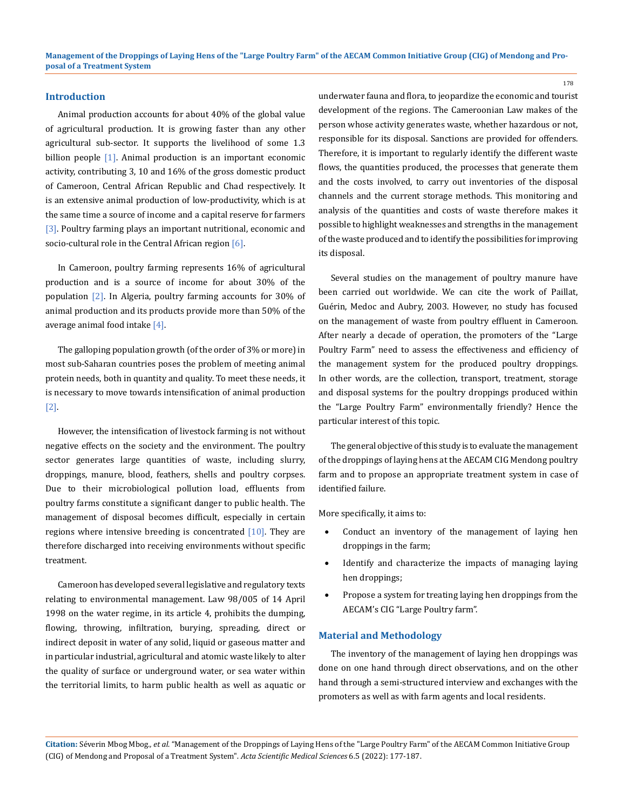#### **Introduction**

Animal production accounts for about 40% of the global value of agricultural production. It is growing faster than any other agricultural sub-sector. It supports the livelihood of some 1.3 billion people [1]. Animal production is an important economic activity, contributing 3, 10 and 16% of the gross domestic product of Cameroon, Central African Republic and Chad respectively. It is an extensive animal production of low-productivity, which is at the same time a source of income and a capital reserve for farmers [3]. Poultry farming plays an important nutritional, economic and socio-cultural role in the Central African region [6].

In Cameroon, poultry farming represents 16% of agricultural production and is a source of income for about 30% of the population [2]. In Algeria, poultry farming accounts for 30% of animal production and its products provide more than 50% of the average animal food intake [4].

The galloping population growth (of the order of 3% or more) in most sub-Saharan countries poses the problem of meeting animal protein needs, both in quantity and quality. To meet these needs, it is necessary to move towards intensification of animal production [2].

However, the intensification of livestock farming is not without negative effects on the society and the environment. The poultry sector generates large quantities of waste, including slurry, droppings, manure, blood, feathers, shells and poultry corpses. Due to their microbiological pollution load, effluents from poultry farms constitute a significant danger to public health. The management of disposal becomes difficult, especially in certain regions where intensive breeding is concentrated  $[10]$ . They are therefore discharged into receiving environments without specific treatment.

Cameroon has developed several legislative and regulatory texts relating to environmental management. Law 98/005 of 14 April 1998 on the water regime, in its article 4, prohibits the dumping, flowing, throwing, infiltration, burying, spreading, direct or indirect deposit in water of any solid, liquid or gaseous matter and in particular industrial, agricultural and atomic waste likely to alter the quality of surface or underground water, or sea water within the territorial limits, to harm public health as well as aquatic or underwater fauna and flora, to jeopardize the economic and tourist development of the regions. The Cameroonian Law makes of the person whose activity generates waste, whether hazardous or not, responsible for its disposal. Sanctions are provided for offenders. Therefore, it is important to regularly identify the different waste flows, the quantities produced, the processes that generate them and the costs involved, to carry out inventories of the disposal channels and the current storage methods. This monitoring and analysis of the quantities and costs of waste therefore makes it possible to highlight weaknesses and strengths in the management of the waste produced and to identify the possibilities for improving its disposal.

Several studies on the management of poultry manure have been carried out worldwide. We can cite the work of Paillat, Guérin, Medoc and Aubry, 2003. However, no study has focused on the management of waste from poultry effluent in Cameroon. After nearly a decade of operation, the promoters of the "Large Poultry Farm" need to assess the effectiveness and efficiency of the management system for the produced poultry droppings. In other words, are the collection, transport, treatment, storage and disposal systems for the poultry droppings produced within the "Large Poultry Farm" environmentally friendly? Hence the particular interest of this topic.

The general objective of this study is to evaluate the management of the droppings of laying hens at the AECAM CIG Mendong poultry farm and to propose an appropriate treatment system in case of identified failure.

More specifically, it aims to:

- Conduct an inventory of the management of laying hen droppings in the farm;
- Identify and characterize the impacts of managing laying hen droppings;
- Propose a system for treating laying hen droppings from the AECAM's CIG "Large Poultry farm".

#### **Material and Methodology**

The inventory of the management of laying hen droppings was done on one hand through direct observations, and on the other hand through a semi-structured interview and exchanges with the promoters as well as with farm agents and local residents.

**Citation:** Séverin Mbog Mbog*., et al.* "Management of the Droppings of Laying Hens of the "Large Poultry Farm" of the AECAM Common Initiative Group (CIG) of Mendong and Proposal of a Treatment System". *Acta Scientific Medical Sciences* 6.5 (2022): 177-187.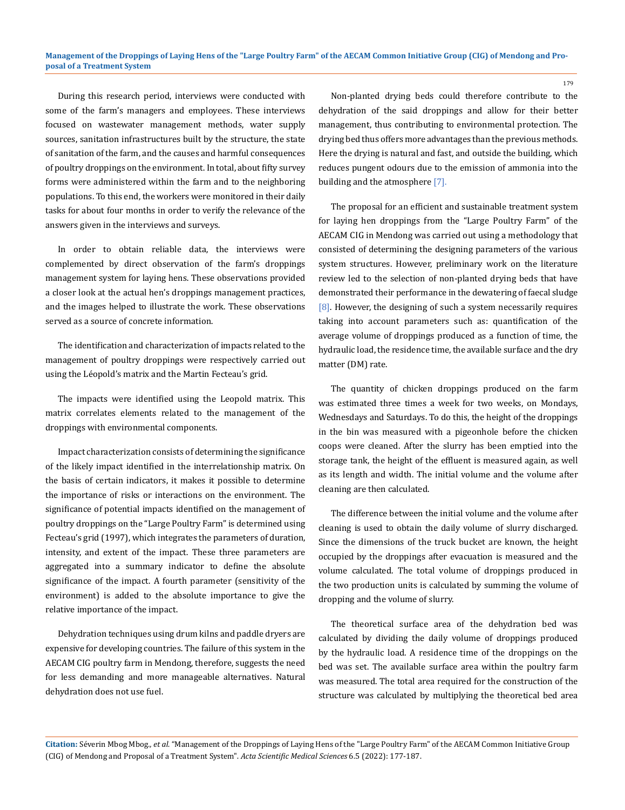During this research period, interviews were conducted with some of the farm's managers and employees. These interviews focused on wastewater management methods, water supply sources, sanitation infrastructures built by the structure, the state of sanitation of the farm, and the causes and harmful consequences of poultry droppings on the environment. In total, about fifty survey forms were administered within the farm and to the neighboring populations. To this end, the workers were monitored in their daily tasks for about four months in order to verify the relevance of the answers given in the interviews and surveys.

In order to obtain reliable data, the interviews were complemented by direct observation of the farm's droppings management system for laying hens. These observations provided a closer look at the actual hen's droppings management practices, and the images helped to illustrate the work. These observations served as a source of concrete information.

The identification and characterization of impacts related to the management of poultry droppings were respectively carried out using the Léopold's matrix and the Martin Fecteau's grid.

The impacts were identified using the Leopold matrix. This matrix correlates elements related to the management of the droppings with environmental components.

Impact characterization consists of determining the significance of the likely impact identified in the interrelationship matrix. On the basis of certain indicators, it makes it possible to determine the importance of risks or interactions on the environment. The significance of potential impacts identified on the management of poultry droppings on the "Large Poultry Farm" is determined using Fecteau's grid (1997), which integrates the parameters of duration, intensity, and extent of the impact. These three parameters are aggregated into a summary indicator to define the absolute significance of the impact. A fourth parameter (sensitivity of the environment) is added to the absolute importance to give the relative importance of the impact.

Dehydration techniques using drum kilns and paddle dryers are expensive for developing countries. The failure of this system in the AECAM CIG poultry farm in Mendong, therefore, suggests the need for less demanding and more manageable alternatives. Natural dehydration does not use fuel.

Non-planted drying beds could therefore contribute to the dehydration of the said droppings and allow for their better management, thus contributing to environmental protection. The drying bed thus offers more advantages than the previous methods. Here the drying is natural and fast, and outside the building, which reduces pungent odours due to the emission of ammonia into the building and the atmosphere [7].

The proposal for an efficient and sustainable treatment system for laying hen droppings from the "Large Poultry Farm" of the AECAM CIG in Mendong was carried out using a methodology that consisted of determining the designing parameters of the various system structures. However, preliminary work on the literature review led to the selection of non-planted drying beds that have demonstrated their performance in the dewatering of faecal sludge [8]. However, the designing of such a system necessarily requires taking into account parameters such as: quantification of the average volume of droppings produced as a function of time, the hydraulic load, the residence time, the available surface and the dry matter (DM) rate.

The quantity of chicken droppings produced on the farm was estimated three times a week for two weeks, on Mondays, Wednesdays and Saturdays. To do this, the height of the droppings in the bin was measured with a pigeonhole before the chicken coops were cleaned. After the slurry has been emptied into the storage tank, the height of the effluent is measured again, as well as its length and width. The initial volume and the volume after cleaning are then calculated.

The difference between the initial volume and the volume after cleaning is used to obtain the daily volume of slurry discharged. Since the dimensions of the truck bucket are known, the height occupied by the droppings after evacuation is measured and the volume calculated. The total volume of droppings produced in the two production units is calculated by summing the volume of dropping and the volume of slurry.

The theoretical surface area of the dehydration bed was calculated by dividing the daily volume of droppings produced by the hydraulic load. A residence time of the droppings on the bed was set. The available surface area within the poultry farm was measured. The total area required for the construction of the structure was calculated by multiplying the theoretical bed area

**Citation:** Séverin Mbog Mbog*., et al.* "Management of the Droppings of Laying Hens of the "Large Poultry Farm" of the AECAM Common Initiative Group (CIG) of Mendong and Proposal of a Treatment System". *Acta Scientific Medical Sciences* 6.5 (2022): 177-187.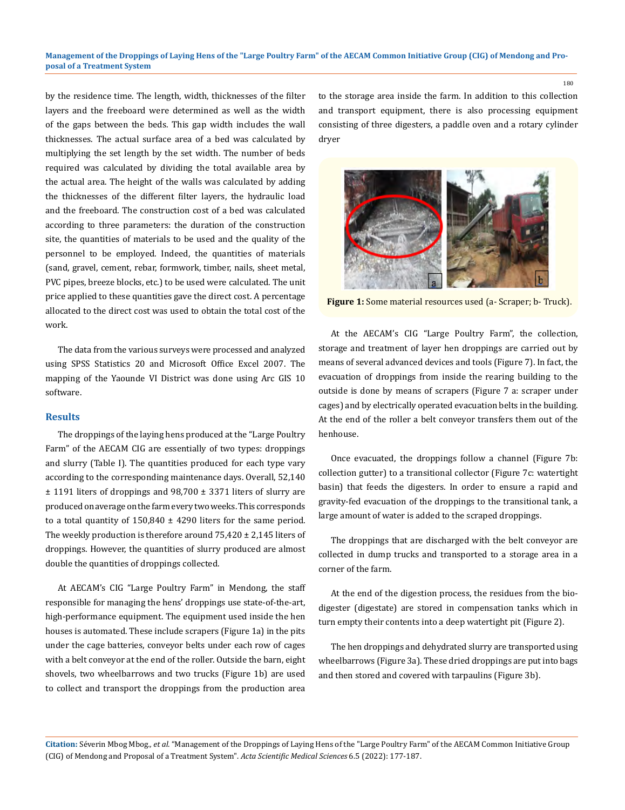by the residence time. The length, width, thicknesses of the filter layers and the freeboard were determined as well as the width of the gaps between the beds. This gap width includes the wall thicknesses. The actual surface area of a bed was calculated by multiplying the set length by the set width. The number of beds required was calculated by dividing the total available area by the actual area. The height of the walls was calculated by adding the thicknesses of the different filter layers, the hydraulic load and the freeboard. The construction cost of a bed was calculated according to three parameters: the duration of the construction site, the quantities of materials to be used and the quality of the personnel to be employed. Indeed, the quantities of materials (sand, gravel, cement, rebar, formwork, timber, nails, sheet metal, PVC pipes, breeze blocks, etc.) to be used were calculated. The unit price applied to these quantities gave the direct cost. A percentage allocated to the direct cost was used to obtain the total cost of the work.

The data from the various surveys were processed and analyzed using SPSS Statistics 20 and Microsoft Office Excel 2007. The mapping of the Yaounde VI District was done using Arc GIS 10 software.

## **Results**

The droppings of the laying hens produced at the "Large Poultry Farm" of the AECAM CIG are essentially of two types: droppings and slurry (Table I). The quantities produced for each type vary according to the corresponding maintenance days. Overall, 52,140 ± 1191 liters of droppings and 98,700 ± 3371 liters of slurry are produced on average on the farm every two weeks. This corresponds to a total quantity of  $150,840 \pm 4290$  liters for the same period. The weekly production is therefore around  $75,420 \pm 2,145$  liters of droppings. However, the quantities of slurry produced are almost double the quantities of droppings collected.

At AECAM's CIG "Large Poultry Farm" in Mendong, the staff responsible for managing the hens' droppings use state-of-the-art, high-performance equipment. The equipment used inside the hen houses is automated. These include scrapers (Figure 1a) in the pits under the cage batteries, conveyor belts under each row of cages with a belt conveyor at the end of the roller. Outside the barn, eight shovels, two wheelbarrows and two trucks (Figure 1b) are used to collect and transport the droppings from the production area

to the storage area inside the farm. In addition to this collection and transport equipment, there is also processing equipment consisting of three digesters, a paddle oven and a rotary cylinder dryer



**Figure 1:** Some material resources used (a- Scraper; b- Truck).

At the AECAM's CIG "Large Poultry Farm", the collection, storage and treatment of layer hen droppings are carried out by means of several advanced devices and tools (Figure 7). In fact, the evacuation of droppings from inside the rearing building to the outside is done by means of scrapers (Figure 7 a: scraper under cages) and by electrically operated evacuation belts in the building. At the end of the roller a belt conveyor transfers them out of the henhouse.

Once evacuated, the droppings follow a channel (Figure 7b: collection gutter) to a transitional collector (Figure 7c: watertight basin) that feeds the digesters. In order to ensure a rapid and gravity-fed evacuation of the droppings to the transitional tank, a large amount of water is added to the scraped droppings.

The droppings that are discharged with the belt conveyor are collected in dump trucks and transported to a storage area in a corner of the farm.

At the end of the digestion process, the residues from the biodigester (digestate) are stored in compensation tanks which in turn empty their contents into a deep watertight pit (Figure 2).

The hen droppings and dehydrated slurry are transported using wheelbarrows (Figure 3a). These dried droppings are put into bags and then stored and covered with tarpaulins (Figure 3b).

**Citation:** Séverin Mbog Mbog*., et al.* "Management of the Droppings of Laying Hens of the "Large Poultry Farm" of the AECAM Common Initiative Group (CIG) of Mendong and Proposal of a Treatment System". *Acta Scientific Medical Sciences* 6.5 (2022): 177-187.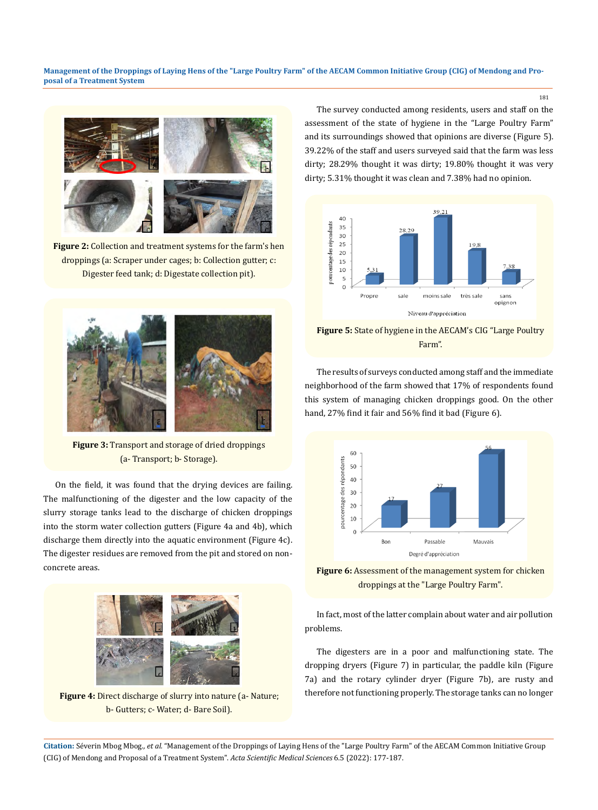

**Figure 2:** Collection and treatment systems for the farm's hen droppings (a: Scraper under cages; b: Collection gutter; c: Digester feed tank; d: Digestate collection pit).



**Figure 3:** Transport and storage of dried droppings (a- Transport; b- Storage).

On the field, it was found that the drying devices are failing. The malfunctioning of the digester and the low capacity of the slurry storage tanks lead to the discharge of chicken droppings into the storm water collection gutters (Figure 4a and 4b), which discharge them directly into the aquatic environment (Figure 4c). The digester residues are removed from the pit and stored on nonconcrete areas.



Figure 4: Direct discharge of slurry into nature (a- Nature; b- Gutters; c- Water; d- Bare Soil).

The survey conducted among residents, users and staff on the assessment of the state of hygiene in the "Large Poultry Farm" and its surroundings showed that opinions are diverse (Figure 5). 39.22% of the staff and users surveyed said that the farm was less dirty; 28.29% thought it was dirty; 19.80% thought it was very dirty; 5.31% thought it was clean and 7.38% had no opinion.



**Figure 5:** State of hygiene in the AECAM's CIG "Large Poultry Farm".

The results of surveys conducted among staff and the immediate neighborhood of the farm showed that 17% of respondents found this system of managing chicken droppings good. On the other hand, 27% find it fair and 56% find it bad (Figure 6).



**Figure 6:** Assessment of the management system for chicken droppings at the "Large Poultry Farm".

In fact, most of the latter complain about water and air pollution problems.

The digesters are in a poor and malfunctioning state. The dropping dryers (Figure 7) in particular, the paddle kiln (Figure 7a) and the rotary cylinder dryer (Figure 7b), are rusty and therefore not functioning properly. The storage tanks can no longer

**Citation:** Séverin Mbog Mbog*., et al.* "Management of the Droppings of Laying Hens of the "Large Poultry Farm" of the AECAM Common Initiative Group (CIG) of Mendong and Proposal of a Treatment System". *Acta Scientific Medical Sciences* 6.5 (2022): 177-187.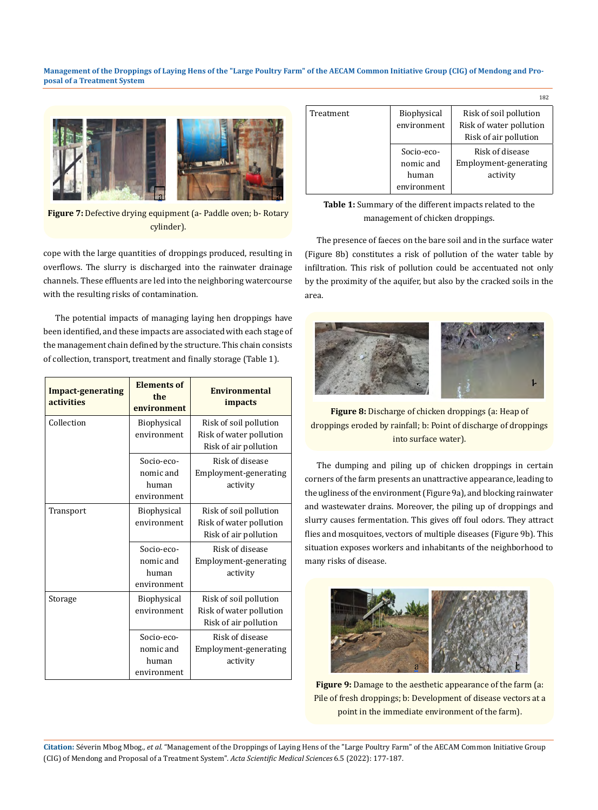

**Figure 7:** Defective drying equipment (a- Paddle oven; b- Rotary cylinder).

cope with the large quantities of droppings produced, resulting in overflows. The slurry is discharged into the rainwater drainage channels. These effluents are led into the neighboring watercourse with the resulting risks of contamination.

The potential impacts of managing laying hen droppings have been identified, and these impacts are associated with each stage of the management chain defined by the structure. This chain consists of collection, transport, treatment and finally storage (Table 1).

| <b>Impact-generating</b><br>activities | <b>Elements of</b><br>the<br>environment        | <b>Environmental</b><br><i>impacts</i>                                     |
|----------------------------------------|-------------------------------------------------|----------------------------------------------------------------------------|
| Collection                             | <b>Biophysical</b><br>environment               | Risk of soil pollution<br>Risk of water pollution<br>Risk of air pollution |
|                                        | Socio-eco-<br>nomic and<br>human<br>environment | Risk of disease<br>Employment-generating<br>activity                       |
| Transport                              | <b>Biophysical</b><br>environment               | Risk of soil pollution<br>Risk of water pollution<br>Risk of air pollution |
|                                        | Socio-eco-<br>nomic and<br>human<br>environment | Risk of disease<br>Employment-generating<br>activity                       |
| Storage                                | <b>Biophysical</b><br>environment               | Risk of soil pollution<br>Risk of water pollution<br>Risk of air pollution |
|                                        | Socio-eco-<br>nomic and<br>human<br>environment | Risk of disease<br>Employment-generating<br>activity                       |

|           |             | 182                     |
|-----------|-------------|-------------------------|
| Treatment | Biophysical | Risk of soil pollution  |
|           | environment | Risk of water pollution |
|           |             | Risk of air pollution   |
|           | Socio-eco-  | Risk of disease         |
|           | nomic and   | Employment-generating   |
|           | human       | activity                |
|           | environment |                         |



The presence of faeces on the bare soil and in the surface water (Figure 8b) constitutes a risk of pollution of the water table by infiltration. This risk of pollution could be accentuated not only by the proximity of the aquifer, but also by the cracked soils in the area.



**Figure 8:** Discharge of chicken droppings (a: Heap of droppings eroded by rainfall; b: Point of discharge of droppings into surface water).

The dumping and piling up of chicken droppings in certain corners of the farm presents an unattractive appearance, leading to the ugliness of the environment (Figure 9a), and blocking rainwater and wastewater drains. Moreover, the piling up of droppings and slurry causes fermentation. This gives off foul odors. They attract flies and mosquitoes, vectors of multiple diseases (Figure 9b). This situation exposes workers and inhabitants of the neighborhood to many risks of disease.



**Figure 9:** Damage to the aesthetic appearance of the farm (a: Pile of fresh droppings; b: Development of disease vectors at a point in the immediate environment of the farm).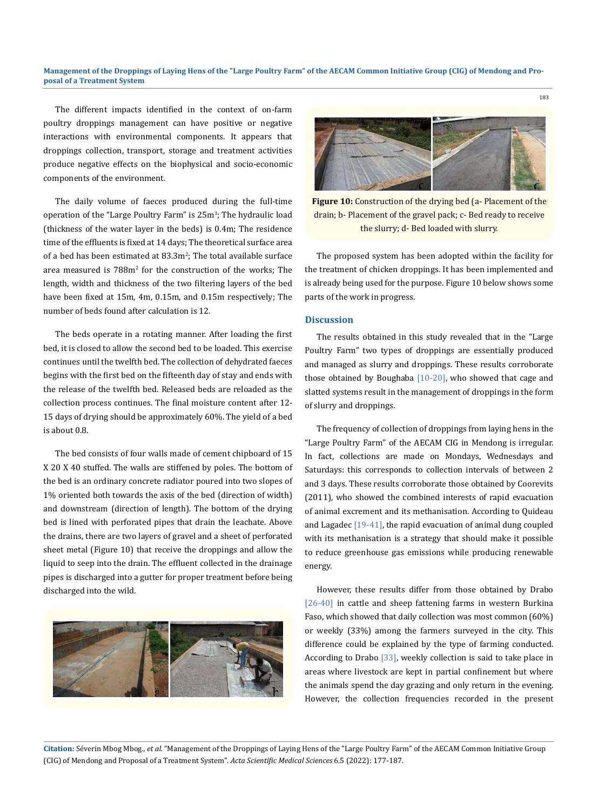The different impacts identified in the context of on-farm poultry droppings management can have positive or negative interactions with environmental components. It appears that droppings collection, transport, storage and treatment activities produce negative effects on the biophysical and socio-economic components of the environment.

The daily volume of faeces produced during the full-time operation of the "Large Poultry Farm" is 25m<sup>3</sup>; The hydraulic load (thickness of the water layer in the beds) is 0.4m; The residence time of the effluents is fixed at 14 days; The theoretical surface area of a bed has been estimated at 83.3m<sup>2</sup>; The total available surface area measured is 788m<sup>2</sup> for the construction of the works; The length, width and thickness of the two filtering layers of the bed have been fixed at 15m, 4m, 0.15m, and 0.15m respectively; The number of beds found after calculation is 12.

The beds operate in a rotating manner. After loading the first bed, it is closed to allow the second bed to be loaded. This exercise continues until the twelfth bed. The collection of dehydrated faeces begins with the first bed on the fifteenth day of stay and ends with the release of the twelfth bed. Released beds are reloaded as the collection process continues. The final moisture content after 12- 15 days of drying should be approximately 60%. The yield of a bed is about 0.8.

The bed consists of four walls made of cement chipboard of 15 X 20 X 40 stuffed. The walls are stiffened by poles. The bottom of the bed is an ordinary concrete radiator poured into two slopes of 1% oriented both towards the axis of the bed (direction of width) and downstream (direction of length). The bottom of the drying bed is lined with perforated pipes that drain the leachate. Above the drains, there are two layers of gravel and a sheet of perforated sheet metal (Figure 10) that receive the droppings and allow the liquid to seep into the drain. The effluent collected in the drainage pipes is discharged into a gutter for proper treatment before being discharged into the wild.





183

**Figure 10:** Construction of the drying bed (a- Placement of the drain; b- Placement of the gravel pack; c- Bed ready to receive the slurry; d- Bed loaded with slurry.

The proposed system has been adopted within the facility for the treatment of chicken droppings. It has been implemented and is already being used for the purpose. Figure 10 below shows some parts of the work in progress.

#### **Discussion**

The results obtained in this study revealed that in the "Large Poultry Farm" two types of droppings are essentially produced and managed as slurry and droppings. These results corroborate those obtained by Boughaba [10-20], who showed that cage and slatted systems result in the management of droppings in the form of slurry and droppings.

The frequency of collection of droppings from laying hens in the "Large Poultry Farm" of the AECAM CIG in Mendong is irregular. In fact, collections are made on Mondays, Wednesdays and Saturdays: this corresponds to collection intervals of between 2 and 3 days. These results corroborate those obtained by Coorevits (2011), who showed the combined interests of rapid evacuation of animal excrement and its methanisation. According to Quideau and Lagadec [19-41], the rapid evacuation of animal dung coupled with its methanisation is a strategy that should make it possible to reduce greenhouse gas emissions while producing renewable energy.

However, these results differ from those obtained by Drabo [26-40] in cattle and sheep fattening farms in western Burkina Faso, which showed that daily collection was most common (60%) or weekly (33%) among the farmers surveyed in the city. This difference could be explained by the type of farming conducted. According to Drabo [33], weekly collection is said to take place in areas where livestock are kept in partial confinement but where the animals spend the day grazing and only return in the evening. However, the collection frequencies recorded in the present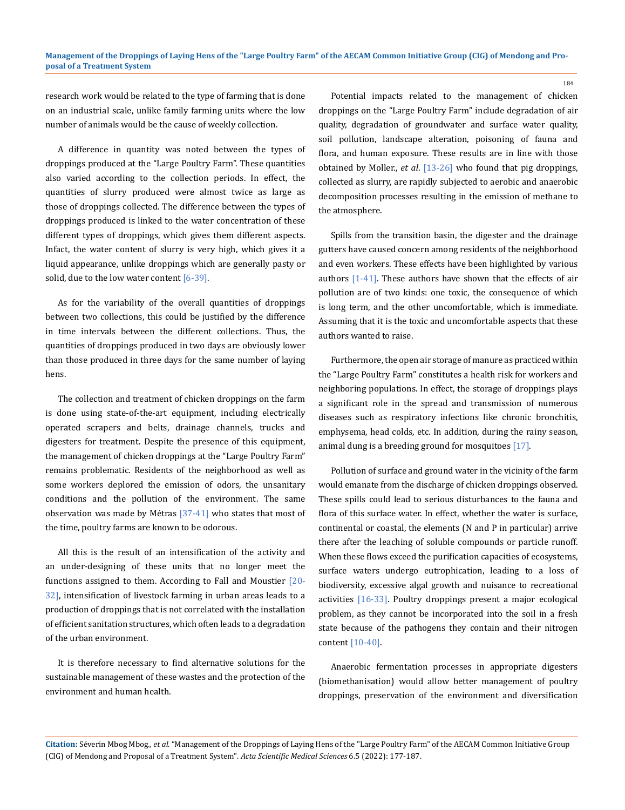research work would be related to the type of farming that is done on an industrial scale, unlike family farming units where the low number of animals would be the cause of weekly collection.

A difference in quantity was noted between the types of droppings produced at the "Large Poultry Farm". These quantities also varied according to the collection periods. In effect, the quantities of slurry produced were almost twice as large as those of droppings collected. The difference between the types of droppings produced is linked to the water concentration of these different types of droppings, which gives them different aspects. Infact, the water content of slurry is very high, which gives it a liquid appearance, unlike droppings which are generally pasty or solid, due to the low water content  $[6-39]$ .

As for the variability of the overall quantities of droppings between two collections, this could be justified by the difference in time intervals between the different collections. Thus, the quantities of droppings produced in two days are obviously lower than those produced in three days for the same number of laying hens.

The collection and treatment of chicken droppings on the farm is done using state-of-the-art equipment, including electrically operated scrapers and belts, drainage channels, trucks and digesters for treatment. Despite the presence of this equipment, the management of chicken droppings at the "Large Poultry Farm" remains problematic. Residents of the neighborhood as well as some workers deplored the emission of odors, the unsanitary conditions and the pollution of the environment. The same observation was made by Métras  $[37-41]$  who states that most of the time, poultry farms are known to be odorous.

All this is the result of an intensification of the activity and an under-designing of these units that no longer meet the functions assigned to them. According to Fall and Moustier [20-32], intensification of livestock farming in urban areas leads to a production of droppings that is not correlated with the installation of efficient sanitation structures, which often leads to a degradation of the urban environment.

It is therefore necessary to find alternative solutions for the sustainable management of these wastes and the protection of the environment and human health.

Potential impacts related to the management of chicken droppings on the "Large Poultry Farm" include degradation of air quality, degradation of groundwater and surface water quality, soil pollution, landscape alteration, poisoning of fauna and flora, and human exposure. These results are in line with those obtained by Moller., *et al*. [13-26] who found that pig droppings, collected as slurry, are rapidly subjected to aerobic and anaerobic decomposition processes resulting in the emission of methane to the atmosphere.

Spills from the transition basin, the digester and the drainage gutters have caused concern among residents of the neighborhood and even workers. These effects have been highlighted by various authors [1-41]. These authors have shown that the effects of air pollution are of two kinds: one toxic, the consequence of which is long term, and the other uncomfortable, which is immediate. Assuming that it is the toxic and uncomfortable aspects that these authors wanted to raise.

Furthermore, the open air storage of manure as practiced within the "Large Poultry Farm" constitutes a health risk for workers and neighboring populations. In effect, the storage of droppings plays a significant role in the spread and transmission of numerous diseases such as respiratory infections like chronic bronchitis, emphysema, head colds, etc. In addition, during the rainy season, animal dung is a breeding ground for mosquitoes [17].

Pollution of surface and ground water in the vicinity of the farm would emanate from the discharge of chicken droppings observed. These spills could lead to serious disturbances to the fauna and flora of this surface water. In effect, whether the water is surface, continental or coastal, the elements (N and P in particular) arrive there after the leaching of soluble compounds or particle runoff. When these flows exceed the purification capacities of ecosystems, surface waters undergo eutrophication, leading to a loss of biodiversity, excessive algal growth and nuisance to recreational activities [16-33]. Poultry droppings present a major ecological problem, as they cannot be incorporated into the soil in a fresh state because of the pathogens they contain and their nitrogen content [10-40].

Anaerobic fermentation processes in appropriate digesters (biomethanisation) would allow better management of poultry droppings, preservation of the environment and diversification

**Citation:** Séverin Mbog Mbog*., et al.* "Management of the Droppings of Laying Hens of the "Large Poultry Farm" of the AECAM Common Initiative Group (CIG) of Mendong and Proposal of a Treatment System". *Acta Scientific Medical Sciences* 6.5 (2022): 177-187.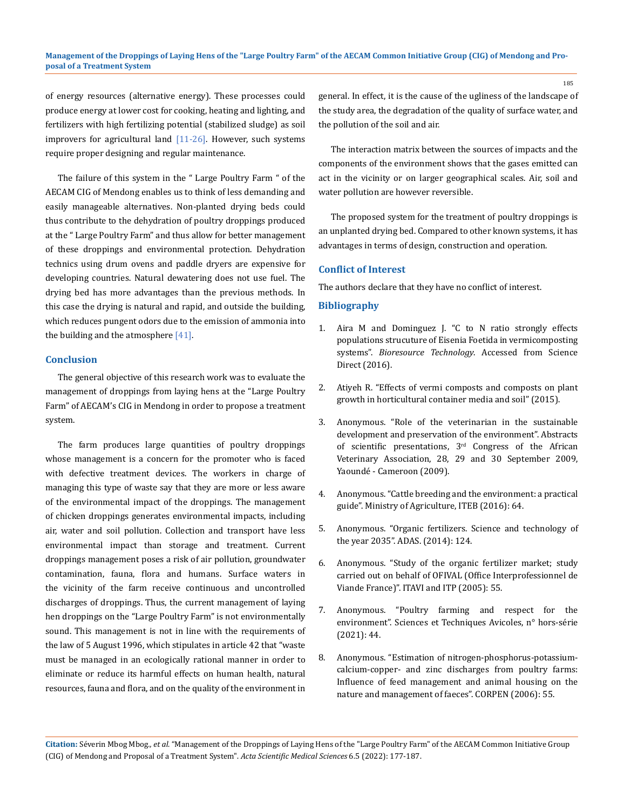of energy resources (alternative energy). These processes could produce energy at lower cost for cooking, heating and lighting, and fertilizers with high fertilizing potential (stabilized sludge) as soil improvers for agricultural land [11-26]. However, such systems require proper designing and regular maintenance.

The failure of this system in the " Large Poultry Farm " of the AECAM CIG of Mendong enables us to think of less demanding and easily manageable alternatives. Non-planted drying beds could thus contribute to the dehydration of poultry droppings produced at the " Large Poultry Farm" and thus allow for better management of these droppings and environmental protection. Dehydration technics using drum ovens and paddle dryers are expensive for developing countries. Natural dewatering does not use fuel. The drying bed has more advantages than the previous methods. In this case the drying is natural and rapid, and outside the building, which reduces pungent odors due to the emission of ammonia into the building and the atmosphere [41].

#### **Conclusion**

The general objective of this research work was to evaluate the management of droppings from laying hens at the "Large Poultry Farm" of AECAM's CIG in Mendong in order to propose a treatment system.

The farm produces large quantities of poultry droppings whose management is a concern for the promoter who is faced with defective treatment devices. The workers in charge of managing this type of waste say that they are more or less aware of the environmental impact of the droppings. The management of chicken droppings generates environmental impacts, including air, water and soil pollution. Collection and transport have less environmental impact than storage and treatment. Current droppings management poses a risk of air pollution, groundwater contamination, fauna, flora and humans. Surface waters in the vicinity of the farm receive continuous and uncontrolled discharges of droppings. Thus, the current management of laying hen droppings on the "Large Poultry Farm" is not environmentally sound. This management is not in line with the requirements of the law of 5 August 1996, which stipulates in article 42 that "waste must be managed in an ecologically rational manner in order to eliminate or reduce its harmful effects on human health, natural resources, fauna and flora, and on the quality of the environment in

general. In effect, it is the cause of the ugliness of the landscape of the study area, the degradation of the quality of surface water, and the pollution of the soil and air.

The interaction matrix between the sources of impacts and the components of the environment shows that the gases emitted can act in the vicinity or on larger geographical scales. Air, soil and water pollution are however reversible.

The proposed system for the treatment of poultry droppings is an unplanted drying bed. Compared to other known systems, it has advantages in terms of design, construction and operation.

# **Conflict of Interest**

The authors declare that they have no conflict of interest.

# **Bibliography**

- 1. Aira M and Dominguez J. "C to N ratio strongly effects populations strucuture of Eisenia Foetida in vermicomposting systems". *Bioresource Technology*. Accessed from Science Direct (2016).
- 2. Atiyeh R. "Effects of vermi composts and composts on plant growth in horticultural container media and soil" (2015).
- 3. Anonymous. "Role of the veterinarian in the sustainable development and preservation of the environment". Abstracts of scientific presentations,  $3<sup>rd</sup>$  Congress of the African Veterinary Association, 28, 29 and 30 September 2009, Yaoundé - Cameroon (2009).
- 4. Anonymous. "Cattle breeding and the environment: a practical guide". Ministry of Agriculture, ITEB (2016): 64.
- 5. Anonymous. "Organic fertilizers. Science and technology of the year 2035". ADAS. (2014): 124.
- 6. Anonymous. "Study of the organic fertilizer market; study carried out on behalf of OFIVAL (Office Interprofessionnel de Viande France)". ITAVI and ITP (2005): 55.
- 7. Anonymous. "Poultry farming and respect for the environment". Sciences et Techniques Avicoles, n° hors-série (2021): 44.
- 8. Anonymous. "Estimation of nitrogen-phosphorus-potassiumcalcium-copper- and zinc discharges from poultry farms: Influence of feed management and animal housing on the nature and management of faeces". CORPEN (2006): 55.

**Citation:** Séverin Mbog Mbog*., et al.* "Management of the Droppings of Laying Hens of the "Large Poultry Farm" of the AECAM Common Initiative Group (CIG) of Mendong and Proposal of a Treatment System". *Acta Scientific Medical Sciences* 6.5 (2022): 177-187.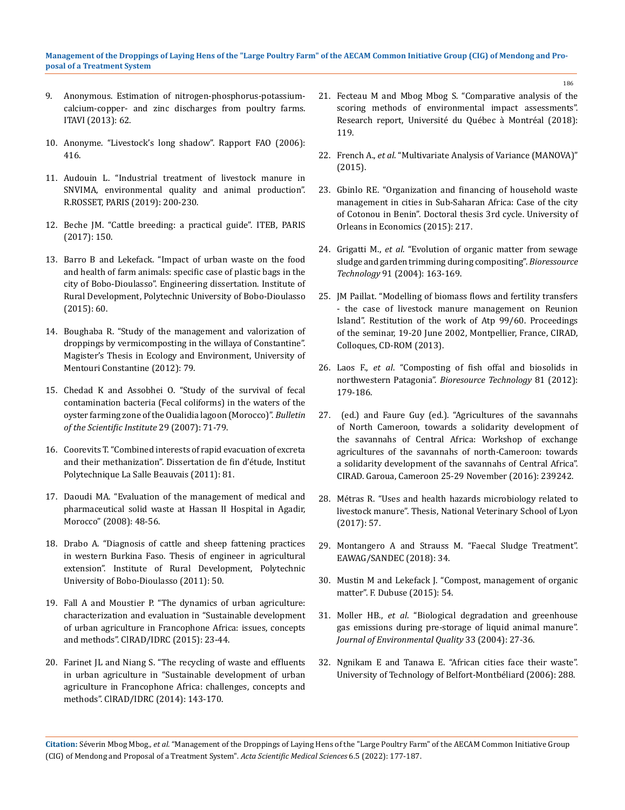- 9. Anonymous. Estimation of nitrogen-phosphorus-potassiumcalcium-copper- and zinc discharges from poultry farms. ITAVI (2013): 62.
- 10. Anonyme. "Livestock's long shadow". Rapport FAO (2006): 416.
- 11. Audouin L. "Industrial treatment of livestock manure in SNVIMA, environmental quality and animal production". R.ROSSET, PARIS (2019): 200-230.
- 12. Beche JM. "Cattle breeding: a practical guide". ITEB, PARIS (2017): 150.
- 13. Barro B and Lekefack. "Impact of urban waste on the food and health of farm animals: specific case of plastic bags in the city of Bobo-Dioulasso". Engineering dissertation. Institute of Rural Development, Polytechnic University of Bobo-Dioulasso (2015): 60.
- 14. Boughaba R. "Study of the management and valorization of droppings by vermicomposting in the willaya of Constantine". Magister's Thesis in Ecology and Environment, University of Mentouri Constantine (2012): 79.
- 15. Chedad K and Assobhei O. "Study of the survival of fecal contamination bacteria (Fecal coliforms) in the waters of the oyster farming zone of the Oualidia lagoon (Morocco)". *Bulletin of the Scientific Institute* 29 (2007): 71-79.
- 16. Coorevits T. "Combined interests of rapid evacuation of excreta and their methanization". Dissertation de fin d'étude, Institut Polytechnique La Salle Beauvais (2011): 81.
- 17. Daoudi MA. "Evaluation of the management of medical and pharmaceutical solid waste at Hassan II Hospital in Agadir, Morocco" (2008): 48-56.
- 18. Drabo A. "Diagnosis of cattle and sheep fattening practices in western Burkina Faso. Thesis of engineer in agricultural extension". Institute of Rural Development, Polytechnic University of Bobo-Dioulasso (2011): 50.
- 19. Fall A and Moustier P. "The dynamics of urban agriculture: characterization and evaluation in "Sustainable development of urban agriculture in Francophone Africa: issues, concepts and methods". ClRAD/IDRC (2015): 23-44.
- 20. Farinet JL and Niang S. "The recycling of waste and effluents in urban agriculture in "Sustainable development of urban agriculture in Francophone Africa: challenges, concepts and methods". ClRAD/IDRC (2014): 143-170.
- 21. Fecteau M and Mbog Mbog S. "Comparative analysis of the scoring methods of environmental impact assessments". Research report, Université du Québec à Montréal (2018): 119.
- 22. French A., *et al*. "Multivariate Analysis of Variance (MANOVA)" (2015).
- 23. Gbinlo RE. "Organization and financing of household waste management in cities in Sub-Saharan Africa: Case of the city of Cotonou in Benin". Doctoral thesis 3rd cycle. University of Orleans in Economics (2015): 217.
- 24. Grigatti M., *et al*[. "Evolution of organic matter from sewage](https://pubmed.ncbi.nlm.nih.gov/14592746/)  [sludge and garden trimming during compositing".](https://pubmed.ncbi.nlm.nih.gov/14592746/) *Bioressource Technology* [91 \(2004\): 163-169.](https://pubmed.ncbi.nlm.nih.gov/14592746/)
- 25. JM Paillat. "Modelling of biomass flows and fertility transfers - the case of livestock manure management on Reunion Island". Restitution of the work of Atp 99/60. Proceedings of the seminar, 19-20 June 2002, Montpellier, France, CIRAD, Colloques, CD-ROM (2013).
- 26. Laos F., *et al*[. "Composting of fish offal and biosolids in](https://www.sciencedirect.com/science/article/abs/pii/S096085240100150X)  northwestern Patagonia". *[Bioresource Technology](https://www.sciencedirect.com/science/article/abs/pii/S096085240100150X)* 81 (2012): [179-186.](https://www.sciencedirect.com/science/article/abs/pii/S096085240100150X)
- 27. (ed.) and Faure Guy (ed.). "Agricultures of the savannahs of North Cameroon, towards a solidarity development of the savannahs of Central Africa: Workshop of exchange agricultures of the savannahs of north-Cameroon: towards a solidarity development of the savannahs of Central Africa". CIRAD. Garoua, Cameroon 25-29 November (2016): 239242.
- 28. Métras R. "Uses and health hazards microbiology related to livestock manure". Thesis, National Veterinary School of Lyon (2017): 57.
- 29. Montangero A and Strauss M. "Faecal Sludge Treatment". EAWAG/SANDEC (2018): 34.
- 30. Mustin M and Lekefack J. "Compost, management of organic matter". F. Dubuse (2015): 54.
- 31. Moller HB., *et al*[. "Biological degradation and greenhouse](https://pubmed.ncbi.nlm.nih.gov/14964355/)  [gas emissions during pre-storage of liquid animal manure".](https://pubmed.ncbi.nlm.nih.gov/14964355/)  *[Journal of Environmental Quality](https://pubmed.ncbi.nlm.nih.gov/14964355/)* 33 (2004): 27-36.
- 32. Ngnikam E and Tanawa E. "African cities face their waste". University of Technology of Belfort-Montbéliard (2006): 288.

**Citation:** Séverin Mbog Mbog*., et al.* "Management of the Droppings of Laying Hens of the "Large Poultry Farm" of the AECAM Common Initiative Group (CIG) of Mendong and Proposal of a Treatment System". *Acta Scientific Medical Sciences* 6.5 (2022): 177-187.